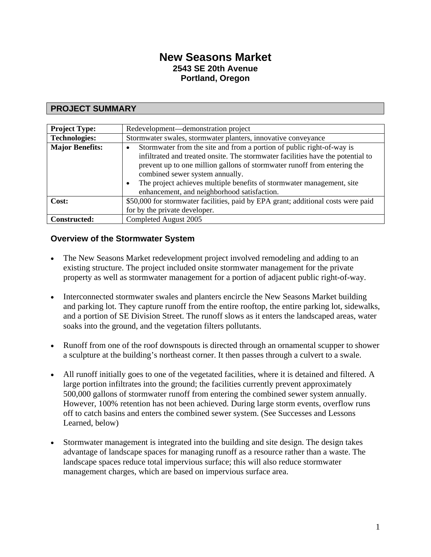# **New Seasons Market 2543 SE 20th Avenue Portland, Oregon**

## **PROJECT SUMMARY**

| <b>Project Type:</b>   | Redevelopment—demonstration project                                                                                                                                                                                                                                                                                                                                                                          |
|------------------------|--------------------------------------------------------------------------------------------------------------------------------------------------------------------------------------------------------------------------------------------------------------------------------------------------------------------------------------------------------------------------------------------------------------|
| <b>Technologies:</b>   | Stormwater swales, stormwater planters, innovative conveyance                                                                                                                                                                                                                                                                                                                                                |
| <b>Major Benefits:</b> | Stormwater from the site and from a portion of public right-of-way is<br>$\bullet$<br>infiltrated and treated onsite. The stormwater facilities have the potential to<br>prevent up to one million gallons of stormwater runoff from entering the<br>combined sewer system annually.<br>The project achieves multiple benefits of stormwater management, site<br>enhancement, and neighborhood satisfaction. |
| Cost:                  | \$50,000 for stormwater facilities, paid by EPA grant; additional costs were paid                                                                                                                                                                                                                                                                                                                            |
|                        | for by the private developer.                                                                                                                                                                                                                                                                                                                                                                                |
| <b>Constructed:</b>    | Completed August 2005                                                                                                                                                                                                                                                                                                                                                                                        |

#### **Overview of the Stormwater System**

- The New Seasons Market redevelopment project involved remodeling and adding to an existing structure. The project included onsite stormwater management for the private property as well as stormwater management for a portion of adjacent public right-of-way.
- Interconnected stormwater swales and planters encircle the New Seasons Market building and parking lot. They capture runoff from the entire rooftop, the entire parking lot, sidewalks, and a portion of SE Division Street. The runoff slows as it enters the landscaped areas, water soaks into the ground, and the vegetation filters pollutants.
- Runoff from one of the roof downspouts is directed through an ornamental scupper to shower a sculpture at the building's northeast corner. It then passes through a culvert to a swale.
- All runoff initially goes to one of the vegetated facilities, where it is detained and filtered. A large portion infiltrates into the ground; the facilities currently prevent approximately 500,000 gallons of stormwater runoff from entering the combined sewer system annually. However, 100% retention has not been achieved. During large storm events, overflow runs off to catch basins and enters the combined sewer system. (See Successes and Lessons Learned, below)
- Stormwater management is integrated into the building and site design. The design takes advantage of landscape spaces for managing runoff as a resource rather than a waste. The landscape spaces reduce total impervious surface; this will also reduce stormwater management charges, which are based on impervious surface area.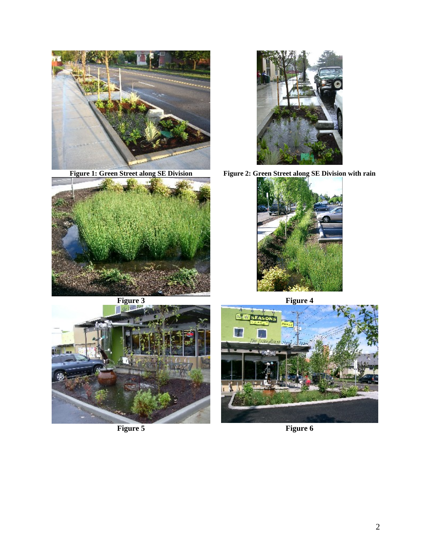





Figure 1: Green Street along SE Division Figure 2: Green Street along SE Division with rain





**Figure 5 Figure 6** 

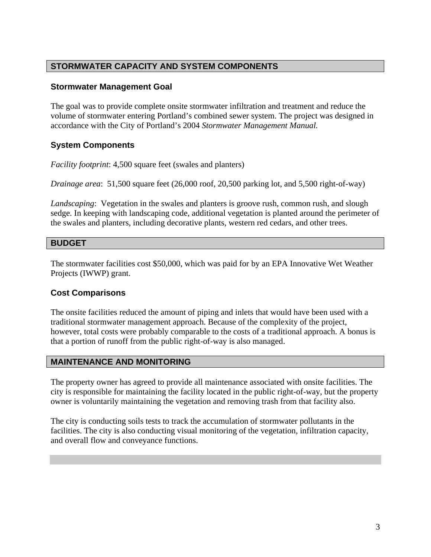# **STORMWATER CAPACITY AND SYSTEM COMPONENTS**

#### **Stormwater Management Goal**

The goal was to provide complete onsite stormwater infiltration and treatment and reduce the volume of stormwater entering Portland's combined sewer system. The project was designed in accordance with the City of Portland's 2004 *Stormwater Management Manual.*

## **System Components**

*Facility footprint*: 4,500 square feet (swales and planters)

*Drainage area*: 51,500 square feet (26,000 roof, 20,500 parking lot, and 5,500 right-of-way)

*Landscaping*: Vegetation in the swales and planters is groove rush, common rush, and slough sedge. In keeping with landscaping code, additional vegetation is planted around the perimeter of the swales and planters, including decorative plants, western red cedars, and other trees.

#### **BUDGET**

The stormwater facilities cost \$50,000, which was paid for by an EPA Innovative Wet Weather Projects (IWWP) grant.

#### **Cost Comparisons**

The onsite facilities reduced the amount of piping and inlets that would have been used with a traditional stormwater management approach. Because of the complexity of the project, however, total costs were probably comparable to the costs of a traditional approach. A bonus is that a portion of runoff from the public right-of-way is also managed.

#### **MAINTENANCE AND MONITORING**

The property owner has agreed to provide all maintenance associated with onsite facilities. The city is responsible for maintaining the facility located in the public right-of-way, but the property owner is voluntarily maintaining the vegetation and removing trash from that facility also.

The city is conducting soils tests to track the accumulation of stormwater pollutants in the facilities. The city is also conducting visual monitoring of the vegetation, infiltration capacity, and overall flow and conveyance functions.